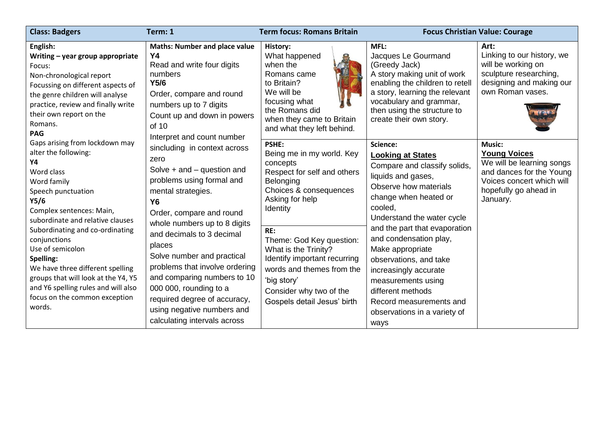| <b>Class: Badgers</b>                                                                                                                                                                                                                                | Term: 1                                                                                                                                                                                                                                                                                                                                                                                                                                                                                                                                                                                                                                                                                            | <b>Term focus: Romans Britain</b>                                                                                                                                                             | <b>Focus Christian Value: Courage</b>                                                                                                                                                                                                                                                                                                                                                                                                 |                                                                                                                                                                 |
|------------------------------------------------------------------------------------------------------------------------------------------------------------------------------------------------------------------------------------------------------|----------------------------------------------------------------------------------------------------------------------------------------------------------------------------------------------------------------------------------------------------------------------------------------------------------------------------------------------------------------------------------------------------------------------------------------------------------------------------------------------------------------------------------------------------------------------------------------------------------------------------------------------------------------------------------------------------|-----------------------------------------------------------------------------------------------------------------------------------------------------------------------------------------------|---------------------------------------------------------------------------------------------------------------------------------------------------------------------------------------------------------------------------------------------------------------------------------------------------------------------------------------------------------------------------------------------------------------------------------------|-----------------------------------------------------------------------------------------------------------------------------------------------------------------|
| English:<br>Writing - year group appropriate<br>Focus:<br>Non-chronological report<br>Focussing on different aspects of<br>the genre children will analyse<br>practice, review and finally write<br>their own report on the<br>Romans.<br><b>PAG</b> | <b>Maths: Number and place value</b><br><b>Y4</b><br>Read and write four digits<br>numbers<br>Y5/6<br>Order, compare and round<br>numbers up to 7 digits<br>Count up and down in powers<br>of 10<br>Interpret and count number<br>sincluding in context across<br>zero<br>Solve $+$ and $-$ question and<br>problems using formal and<br>mental strategies.<br><b>Y6</b><br>Order, compare and round<br>whole numbers up to 8 digits<br>and decimals to 3 decimal<br>places<br>Solve number and practical<br>problems that involve ordering<br>and comparing numbers to 10<br>000 000, rounding to a<br>required degree of accuracy,<br>using negative numbers and<br>calculating intervals across | History:<br>What happened<br>when the<br>Romans came<br>to Britain?<br>We will be<br>focusing what<br>the Romans did<br>when they came to Britain<br>and what they left behind.               | MFL:<br>Jacques Le Gourmand<br>(Greedy Jack)<br>A story making unit of work<br>enabling the children to retell<br>a story, learning the relevant<br>vocabulary and grammar,<br>then using the structure to<br>create their own story.                                                                                                                                                                                                 | Art:<br>Linking to our history, we<br>will be working on<br>sculpture researching,<br>designing and making our<br>own Roman vases.                              |
| Gaps arising from lockdown may<br>alter the following:<br>Υ4<br>Word class<br>Word family<br>Speech punctuation<br>Y5/6<br>Complex sentences: Main,<br>subordinate and relative clauses                                                              |                                                                                                                                                                                                                                                                                                                                                                                                                                                                                                                                                                                                                                                                                                    | PSHE:<br>Being me in my world. Key<br>concepts<br>Respect for self and others<br>Belonging<br>Choices & consequences<br>Asking for help<br>Identity                                           | Science:<br><b>Looking at States</b><br>Compare and classify solids,<br>liquids and gases,<br>Observe how materials<br>change when heated or<br>cooled,<br>Understand the water cycle<br>and the part that evaporation<br>and condensation play,<br>Make appropriate<br>observations, and take<br>increasingly accurate<br>measurements using<br>different methods<br>Record measurements and<br>observations in a variety of<br>ways | <b>Music:</b><br><b>Young Voices</b><br>We will be learning songs<br>and dances for the Young<br>Voices concert which will<br>hopefully go ahead in<br>January. |
| Subordinating and co-ordinating<br>conjunctions<br>Use of semicolon<br>Spelling:<br>We have three different spelling<br>groups that will look at the Y4, Y5<br>and Y6 spelling rules and will also<br>focus on the common exception<br>words.        |                                                                                                                                                                                                                                                                                                                                                                                                                                                                                                                                                                                                                                                                                                    | RE:<br>Theme: God Key question:<br>What is the Trinity?<br>Identify important recurring<br>words and themes from the<br>'big story'<br>Consider why two of the<br>Gospels detail Jesus' birth |                                                                                                                                                                                                                                                                                                                                                                                                                                       |                                                                                                                                                                 |